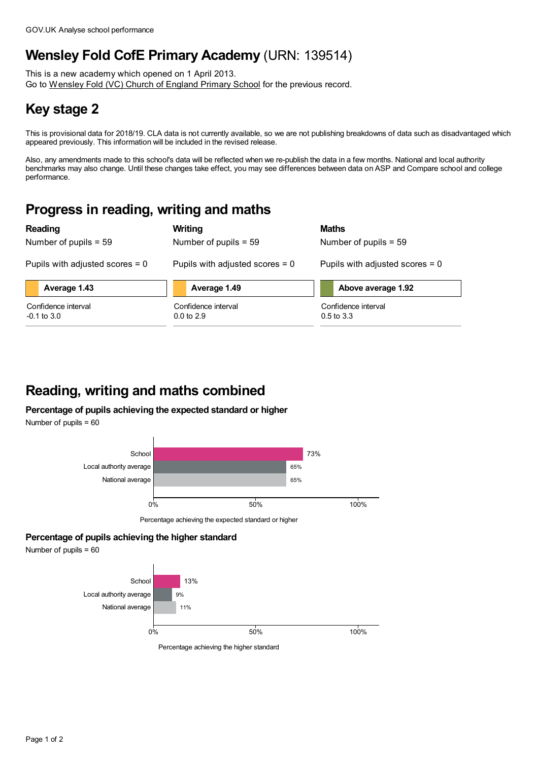## **Wensley Fold CofE Primary Academy** (URN: 139514)

This is a new academy which opened on 1 April 2013. Go to [Wensley](https://www.analyse-school-performance.service.gov.uk/School/Details/119412) Fold (VC) Church of England Primary School for the previous record.

# **Key stage 2**

This is provisional data for 2018/19. CLA data is not currently available, so we are not publishing breakdowns of data such as disadvantaged which appeared previously. This information will be included in the revised release.

Also, any amendments made to this school's data will be reflected when we re-publish the data in a few months. National and local authority benchmarks may also change. Until these changes take effect, you may see differences between data on ASP and Compare school and college performance.

#### **Progress in reading, writing and maths**

**Reading**

Number of pupils = 59

**Average 1.43**

Confidence interval  $-0.1$  to  $3.0$ 

**Writing** Number of pupils = 59

Pupils with adjusted scores = 0

**Average 1.49**

Pupils with adjusted scores = 0

Confidence interval 0.0 to 2.9

| Number of pupils $= 59$           |
|-----------------------------------|
| Pupils with adjusted scores $= 0$ |

**Above average 1.92**

Confidence interval 0.5 to 3.3

**Maths**

### **Reading, writing and maths combined**

**Percentage of pupils achieving the expected standard or higher**

Number of pupils = 60



Percentage achieving the expected standard or higher

#### **Percentage of pupils achieving the higher standard**

Number of pupils = 60